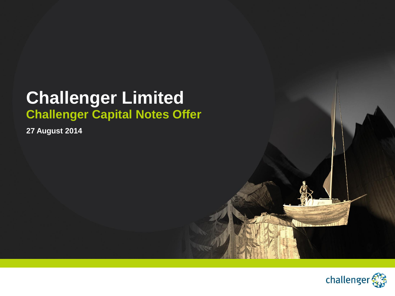## **Challenger Limited Challenger Capital Notes Offer**

**27 August 2014**

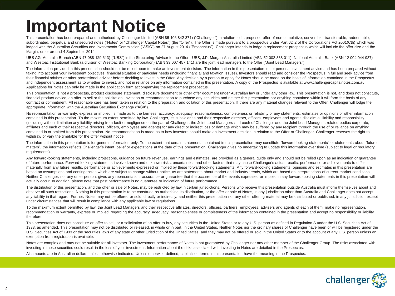## **Important Notice**

This presentation has been prepared and authorised by Challenger Limited (ABN 85 106 842 371) ("Challenger") in relation to its proposed offer of non-cumulative, convertible, transferrable, redeemable, subordinated, perpetual and unsecured notes ("Notes" or "Challenger Capital Notes") (the "Offer"). The Offer is made pursuant to a prospectus under Part 6D.2 of the Corporations Act 2001(Cth) which was lodged with the Australian Securities and Investments Commission ("ASIC") on 27 August 2014 ("Prospectus"). Challenger intends to lodge a replacement prospectus which will include the offer size and the Margin, on or around 4 September 2014.

UBS AG, Australia Branch (ABN 47 088 129 613) ("UBS") is the Structuring Adviser to the Offer. UBS, J.P. Morgan Australia Limited (ABN 52 002 888 011), National Australia Bank (ABN 12 004 044 937) and Westpac Institutional Bank (a division of Westpac Banking Corporation) (ABN 33 007 457 141) are the joint lead managers to the Offer ("Joint Lead Managers").

The information provided in this presentation should not be relied upon to make an investment decision. The information in this presentation is not personal investment advice and has been prepared without taking into account your investment objectives, financial situation or particular needs (including financial and taxation issues). Investors should read and consider the Prospectus in full and seek advice from their financial adviser or other professional adviser before deciding to invest in the Offer. Any decision by a person to apply for Notes should be made on the basis of information contained in the Prospectus and independent assessment as to whether to invest, and not in reliance on any information contained in this presentation. A copy of the Prospectus is available at www.challengercapitalnotes.com.au. Applications for Notes can only be made in the application form accompanying the replacement prospectus.

This presentation is not a prospectus, product disclosure statement, disclosure document or other offer document under Australian law or under any other law. This presentation is not, and does not constitute, financial product advice, an offer to sell or the solicitation, invitation or recommendation to purchase any securities and neither this presentation nor anything contained within it will form the basis of any contract or commitment. All reasonable care has been taken in relation to the preparation and collation of this presentation. If there are any material changes relevant to the Offer, Challenger will lodge the appropriate information with the Australian Securities Exchange ("ASX").

No representation or warranty, express or implied, is made as to the fairness, accuracy, adequacy, reasonableness, completeness or reliability of any statements, estimates or opinions or other information contained in this presentation. To the maximum extent permitted by law, Challenger, its subsidiaries and their respective directors, officers, employees and agents disclaim all liability and responsibility (including without limitation any liability arising from fault or negligence on the part of Challenger, the Joint Lead Managers and each of Challenger and the Joint Lead Manager's related bodies corporate, affiliates and each of their respective directors, officers, employees and agents) for any direct or indirect loss or damage which may be suffered by any recipient through the use of or reliance on anything contained in or omitted from this presentation. No recommendation is made as to how investors should make an investment decision in relation to the Offer or Challenger. Challenger reserves the right to withdraw or vary the timetable for the Offer without notice.

The information in this presentation is for general information only. To the extent that certain statements contained in this presentation may constitute "forward-looking statements" or statements about "future matters", the information reflects Challenger's intent, belief or expectations at the date of this presentation. Challenger gives no undertaking to update this information over time (subject to legal or regulatory requirements).

Any forward-looking statements, including projections, quidance on future revenues, earnings and estimates, are provided as a general quide only and should not be relied upon as an indication or quarantee of future performance. Forward-looking statements involve known and unknown risks, uncertainties and other factors that may cause Challenger's actual results, performance or achievements to differ materially from any future results, performance or achievements expressed or implied by these forward-looking statements. Any forward-looking statements, opinions and estimates in this presentation are based on assumptions and contingencies which are subject to change without notice, as are statements about market and industry trends, which are based on interpretations of current market conditions. Neither Challenger, nor any other person, gives any representation, assurance or quarantee that the occurrence of the events expressed or implied in any forward-looking statements in this presentation will actually occur. In addition, please note that past performance is no guarantee or indication of future performance.

The distribution of this presentation, and the offer or sale of Notes, may be restricted by law in certain jurisdictions. Persons who receive this presentation outside Australia must inform themselves about and observe all such restrictions. Nothing in this presentation is to be construed as authorising its distribution, or the offer or sale of Notes, in any jurisdiction other than Australia and Challenger does not accept any liability in that regard. Further, Notes may not be offered or sold, directly or indirectly, and neither this presentation nor any other offering material may be distributed or published, in any jurisdiction except under circumstances that will result in compliance with any applicable law or regulations.

To the maximum extent permitted by law, the Joint Lead Managers and their respective affiliates, directors, officers, partners, employees, advisers and agents of each of them, make no representation, recommendation or warranty, express or implied, regarding the accuracy, adequacy, reasonableness or completeness of the information contained in the presentation and accept no responsibility or liability therefore.

This presentation does not constitute an offer to sell, or a solicitation of an offer to buy, any securities in the United States or to any U.S. person as defined in Requlation S under the U.S. Securities Act of 1933, as amended. This presentation may not be distributed or released, in whole or in part, in the United States. Neither Notes nor the ordinary shares of Challenger have been or will be registered under the U.S. Securities Act of 1933 or the securities laws of any state or other jurisdiction of the United States, and they may not be offered or sold in the United States or to the account of any U.S. person unless an exemption from registration is available.

Notes are complex and may not be suitable for all investors. The investment performance of Notes is not quaranteed by Challenger nor any other member of the Challenger Group. The risks associated with investing in these securities could result in the loss of your investment. Information about the risks associated with investing in Notes are detailed in the Prospectus.

All amounts are in Australian dollars unless otherwise indicated. Unless otherwise defined, capitalised terms in this presentation have the meaning in the Prospectus.

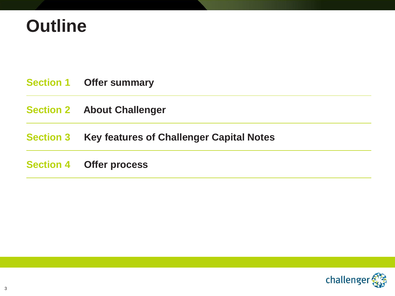## **Outline**

|                  | <b>Section 1 Offer summary</b>                  |
|------------------|-------------------------------------------------|
|                  | <b>Section 2 About Challenger</b>               |
| <b>Section 3</b> | <b>Key features of Challenger Capital Notes</b> |
|                  | <b>Section 4 Offer process</b>                  |

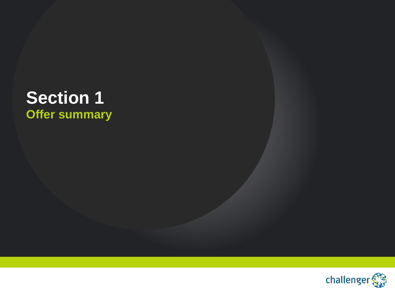## **Section 1 Offer summary**

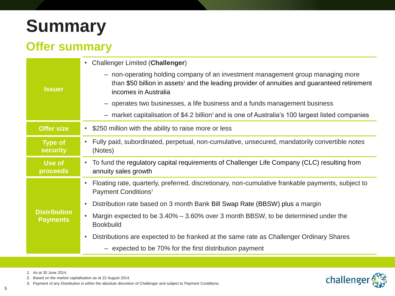## **Summary**

### **Offer summary**

|                                        | <b>Challenger Limited (Challenger)</b><br>$\bullet$                                                                                                                                                                 |  |  |  |
|----------------------------------------|---------------------------------------------------------------------------------------------------------------------------------------------------------------------------------------------------------------------|--|--|--|
| <b>Issuer</b>                          | - non-operating holding company of an investment management group managing more<br>than \$50 billion in assets <sup>1</sup> and the leading provider of annuities and guaranteed retirement<br>incomes in Australia |  |  |  |
|                                        | - operates two businesses, a life business and a funds management business                                                                                                                                          |  |  |  |
|                                        | $-$ market capitalisation of \$4.2 billion <sup>2</sup> and is one of Australia's 100 largest listed companies                                                                                                      |  |  |  |
| <b>Offer size</b>                      | \$250 million with the ability to raise more or less<br>$\bullet$                                                                                                                                                   |  |  |  |
| <b>Type of</b><br><b>security</b>      | Fully paid, subordinated, perpetual, non-cumulative, unsecured, mandatorily convertible notes<br>$\bullet$<br>(Notes)                                                                                               |  |  |  |
| <b>Use of</b><br>proceeds              | To fund the regulatory capital requirements of Challenger Life Company (CLC) resulting from<br>$\bullet$<br>annuity sales growth                                                                                    |  |  |  |
|                                        | Floating rate, quarterly, preferred, discretionary, non-cumulative frankable payments, subject to<br>$\bullet$<br>Payment Conditions <sup>3</sup>                                                                   |  |  |  |
|                                        | Distribution rate based on 3 month Bank Bill Swap Rate (BBSW) plus a margin<br>$\bullet$                                                                                                                            |  |  |  |
| <b>Distribution</b><br><b>Payments</b> | Margin expected to be 3.40% – 3.60% over 3 month BBSW, to be determined under the<br>$\bullet$<br><b>Bookbuild</b>                                                                                                  |  |  |  |
|                                        | Distributions are expected to be franked at the same rate as Challenger Ordinary Shares<br>$\bullet$                                                                                                                |  |  |  |
|                                        | - expected to be 70% for the first distribution payment                                                                                                                                                             |  |  |  |



1. As at 30 June 2014.

2. Based on the market capitalisation as at 22 August 2014.

3. Payment of any Distribution is within the absolute discretion of Challenger and subject to Payment Conditions.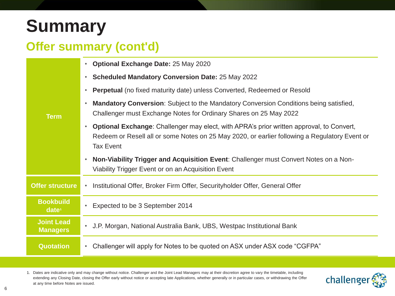## **Summary**

### **Offer summary (cont'd)**

|                                       | <b>Optional Exchange Date: 25 May 2020</b><br>$\bullet$                                                                                                                                                                           |  |
|---------------------------------------|-----------------------------------------------------------------------------------------------------------------------------------------------------------------------------------------------------------------------------------|--|
| <b>Term</b>                           | <b>Scheduled Mandatory Conversion Date: 25 May 2022</b><br>$\bullet$                                                                                                                                                              |  |
|                                       | <b>Perpetual</b> (no fixed maturity date) unless Converted, Redeemed or Resold                                                                                                                                                    |  |
|                                       | Mandatory Conversion: Subject to the Mandatory Conversion Conditions being satisfied,<br>Challenger must Exchange Notes for Ordinary Shares on 25 May 2022                                                                        |  |
|                                       | <b>Optional Exchange:</b> Challenger may elect, with APRA's prior written approval, to Convert,<br>$\bullet$<br>Redeem or Resell all or some Notes on 25 May 2020, or earlier following a Regulatory Event or<br><b>Tax Event</b> |  |
|                                       | Non-Viability Trigger and Acquisition Event: Challenger must Convert Notes on a Non-<br>Viability Trigger Event or on an Acquisition Event                                                                                        |  |
| <b>Offer structure</b>                | • Institutional Offer, Broker Firm Offer, Securityholder Offer, General Offer                                                                                                                                                     |  |
| <b>Bookbuild</b><br>date <sup>1</sup> | Expected to be 3 September 2014<br>$\bullet$                                                                                                                                                                                      |  |
| <b>Joint Lead</b><br><b>Managers</b>  | J.P. Morgan, National Australia Bank, UBS, Westpac Institutional Bank<br>$\bullet$                                                                                                                                                |  |
| <b>Quotation</b>                      | Challenger will apply for Notes to be quoted on ASX under ASX code "CGFPA"                                                                                                                                                        |  |

1. Dates are indicative only and may change without notice. Challenger and the Joint Lead Managers may at their discretion agree to vary the timetable, including extending any Closing Date, closing the Offer early without notice or accepting late Applications, whether generally or in particular cases, or withdrawing the Offer at any time before Notes are issued.

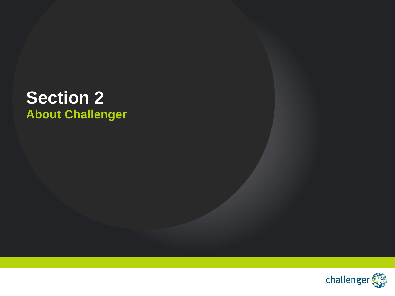## **Section 2 About Challenger**

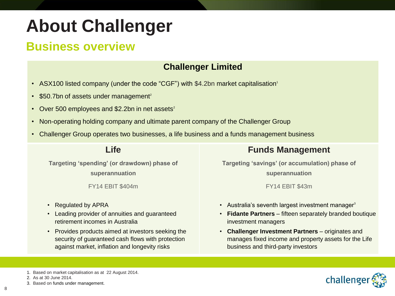### **Business overview**

### **Challenger Limited**

- ASX100 listed company (under the code "CGF") with \$4.2bn market capitalisation<sup>1</sup>
- $\cdot$  \$50.7bn of assets under management<sup>2</sup>
- Over 500 employees and \$2.2bn in net assets $2$
- Non-operating holding company and ultimate parent company of the Challenger Group
- Challenger Group operates two businesses, a life business and a funds management business

### **Life**

**Targeting 'spending' (or drawdown) phase of superannuation**

FY14 EBIT \$404m

- Regulated by APRA
- Leading provider of annuities and guaranteed retirement incomes in Australia
- Provides products aimed at investors seeking the security of guaranteed cash flows with protection against market, inflation and longevity risks

### **Funds Management**

**Targeting 'savings' (or accumulation) phase of superannuation**

FY14 EBIT \$43m

- Australia's seventh largest investment manager $3$
- **Fidante Partners** fifteen separately branded boutique investment managers
- **Challenger Investment Partners** originates and manages fixed income and property assets for the Life business and third-party investors



<sup>1.</sup> Based on market capitalisation as at 22 August 2014.

<sup>2.</sup> As at 30 June 2014.

<sup>3.</sup> Based on funds under management.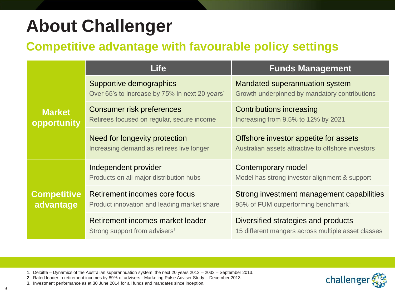### **Competitive advantage with favourable policy settings**

|                                 | <b>Life</b>                                                                           | <b>Funds Management</b>                                                                      |  |
|---------------------------------|---------------------------------------------------------------------------------------|----------------------------------------------------------------------------------------------|--|
|                                 | Supportive demographics<br>Over 65's to increase by 75% in next 20 years <sup>1</sup> | Mandated superannuation system<br>Growth underpinned by mandatory contributions              |  |
| <b>Market</b><br>opportunity    | <b>Consumer risk preferences</b><br>Retirees focused on regular, secure income        | <b>Contributions increasing</b><br>Increasing from 9.5% to 12% by 2021                       |  |
|                                 | Need for longevity protection<br>Increasing demand as retirees live longer            | Offshore investor appetite for assets<br>Australian assets attractive to offshore investors  |  |
| <b>Competitive</b><br>advantage | Independent provider<br>Products on all major distribution hubs                       | Contemporary model<br>Model has strong investor alignment & support                          |  |
|                                 | Retirement incomes core focus<br>Product innovation and leading market share          | Strong investment management capabilities<br>95% of FUM outperforming benchmark <sup>3</sup> |  |
|                                 | Retirement incomes market leader<br>Strong support from advisers <sup>2</sup>         | Diversified strategies and products<br>15 different mangers across multiple asset classes    |  |

- 1. Deloitte Dynamics of the Australian superannuation system: the next 20 years 2013 2033 September 2013.
- 2. Rated leader in retirement incomes by 89% of advisers Marketing Pulse Adviser Study December 2013.
- 3. Investment performance as at 30 June 2014 for all funds and mandates since inception.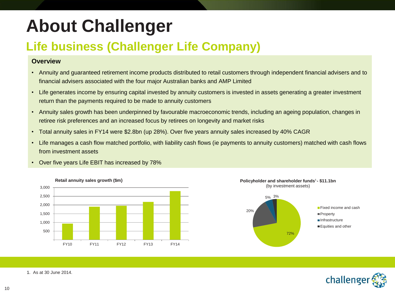## **Life business (Challenger Life Company)**

### **Overview**

- Annuity and guaranteed retirement income products distributed to retail customers through independent financial advisers and to financial advisers associated with the four major Australian banks and AMP Limited
- Life generates income by ensuring capital invested by annuity customers is invested in assets generating a greater investment return than the payments required to be made to annuity customers
- Annuity sales growth has been underpinned by favourable macroeconomic trends, including an ageing population, changes in retiree risk preferences and an increased focus by retirees on longevity and market risks
- Total annuity sales in FY14 were \$2.8bn (up 28%). Over five years annuity sales increased by 40% CAGR
- Life manages a cash flow matched portfolio, with liability cash flows (ie payments to annuity customers) matched with cash flows from investment assets







(by investment assets)



1. As at 30 June 2014.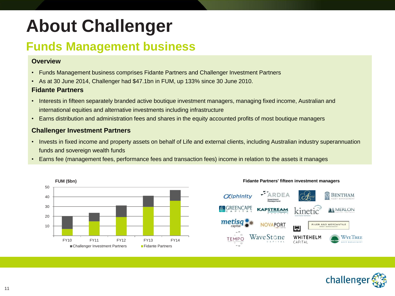### **Funds Management business**

### **Overview**

- Funds Management business comprises Fidante Partners and Challenger Investment Partners
- As at 30 June 2014, Challenger had \$47.1bn in FUM, up 133% since 30 June 2010.

### **Fidante Partners**

- Interests in fifteen separately branded active boutique investment managers, managing fixed income, Australian and international equities and alternative investments including infrastructure
- Earns distribution and administration fees and shares in the equity accounted profits of most boutique managers

### **Challenger Investment Partners**

- Invests in fixed income and property assets on behalf of Life and external clients, including Australian industry superannuation funds and sovereign wealth funds
- Earns fee (management fees, performance fees and transaction fees) income in relation to the assets it manages







**Fidante Partners' fifteen investment managers**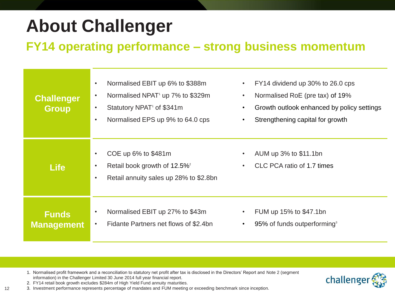### **FY14 operating performance – strong business momentum**

| <b>Challenger</b><br><b>Group</b> | Normalised EBIT up 6% to \$388m<br>Normalised NPAT <sup>1</sup> up 7% to \$329m<br>Statutory NPAT <sup>1</sup> of \$341m<br>Normalised EPS up 9% to 64.0 cps | FY14 dividend up 30% to 26.0 cps<br>Normalised RoE (pre tax) of 19%<br>$\bullet$<br>Growth outlook enhanced by policy settings<br>Strengthening capital for growth |
|-----------------------------------|--------------------------------------------------------------------------------------------------------------------------------------------------------------|--------------------------------------------------------------------------------------------------------------------------------------------------------------------|
| <b>Life</b>                       | COE up 6% to \$481m<br>Retail book growth of 12.5% <sup>2</sup><br>Retail annuity sales up 28% to \$2.8bn                                                    | AUM up 3% to \$11.1bn<br>CLC PCA ratio of 1.7 times<br>$\bullet$                                                                                                   |
| <b>Funds</b><br><b>Management</b> | Normalised EBIT up 27% to \$43m<br>Fidante Partners net flows of \$2.4bn                                                                                     | FUM up 15% to \$47.1bn<br>95% of funds outperforming <sup>3</sup><br>$\bullet$                                                                                     |

1. Normalised profit framework and a reconciliation to statutory net profit after tax is disclosed in the Directors' Report and Note 2 (segment information) in the Challenger Limited 30 June 2014 full year financial report.



2. FY14 retail book growth excludes \$284m of High Yield Fund annuity maturities.

12

3. Investment performance represents percentage of mandates and FUM meeting or exceeding benchmark since inception.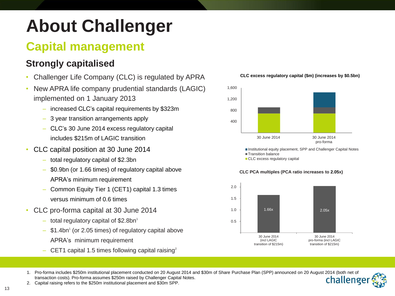## **Capital management**

### **Strongly capitalised**

- Challenger Life Company (CLC) is regulated by APRA
- New APRA life company prudential standards (LAGIC) implemented on 1 January 2013
	- increased CLC's capital requirements by \$323m
	- 3 year transition arrangements apply
	- CLC's 30 June 2014 excess regulatory capital includes \$215m of LAGIC transition
- CLC capital position at 30 June 2014
	- total regulatory capital of \$2.3bn
	- \$0.9bn (or 1.66 times) of regulatory capital above APRA's minimum requirement
	- Common Equity Tier 1 (CET1) capital 1.3 times versus minimum of 0.6 times
- CLC pro-forma capital at 30 June 2014
	- $-$  total regulatory capital of \$2.8bn<sup>1</sup>
	- $-$  \$1.4bn<sup>1</sup> (or 2.05 times) of regulatory capital above APRA's minimum requirement
	- CET1 capital 1.5 times following capital raising<sup>2</sup>





Institutional equity placement, SPP and Challenger Capital Notes **Transition balance** 

CLC excess regulatory capital



#### **CLC PCA multiples (PCA ratio increases to 2.05x)**

2. Capital raising refers to the \$250m institutional placement and \$30m SPP.

<sup>1.</sup> Pro-forma includes \$250m institutional placement conducted on 20 August 2014 and \$30m of Share Purchase Plan (SPP) announced on 20 August 2014 (both net of transaction costs). Pro-forma assumes \$250m raised by Challenger Capital Notes. challenge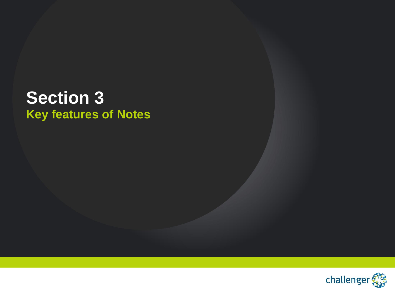## **Section 3 Key features of Notes**

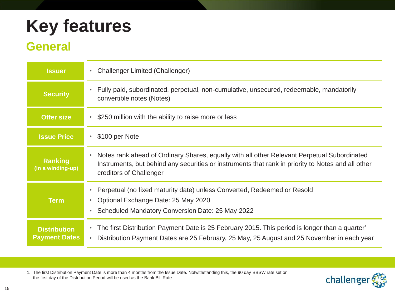## **General**

| <b>Issuer</b>                               | <b>Challenger Limited (Challenger)</b><br>۰                                                                                                                                                                                       |  |  |
|---------------------------------------------|-----------------------------------------------------------------------------------------------------------------------------------------------------------------------------------------------------------------------------------|--|--|
| <b>Security</b>                             | Fully paid, subordinated, perpetual, non-cumulative, unsecured, redeemable, mandatorily<br>$\bullet$<br>convertible notes (Notes)                                                                                                 |  |  |
| <b>Offer size</b>                           | \$250 million with the ability to raise more or less<br>٠                                                                                                                                                                         |  |  |
| <b>Issue Price</b>                          | \$100 per Note<br>$\bullet$                                                                                                                                                                                                       |  |  |
| Ranking<br>(in a winding-up)                | Notes rank ahead of Ordinary Shares, equally with all other Relevant Perpetual Subordinated<br>٠<br>Instruments, but behind any securities or instruments that rank in priority to Notes and all other<br>creditors of Challenger |  |  |
| <b>Term</b>                                 | Perpetual (no fixed maturity date) unless Converted, Redeemed or Resold<br>$\bullet$<br>Optional Exchange Date: 25 May 2020<br>۰<br>Scheduled Mandatory Conversion Date: 25 May 2022<br>٠                                         |  |  |
| <b>Distribution</b><br><b>Payment Dates</b> | The first Distribution Payment Date is 25 February 2015. This period is longer than a quarter <sup>1</sup><br>Distribution Payment Dates are 25 February, 25 May, 25 August and 25 November in each year<br>$\bullet$             |  |  |

1. The first Distribution Payment Date is more than 4 months from the Issue Date. Notwithstanding this, the 90 day BBSW rate set on the first day of the Distribution Period will be used as the Bank Bill Rate.

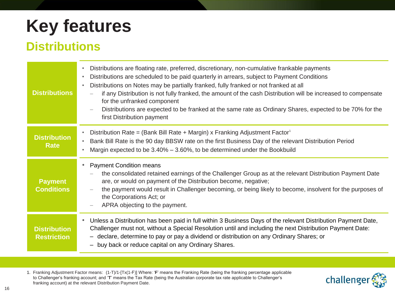### **Distributions**

| <b>Distributions</b>                      | Distributions are floating rate, preferred, discretionary, non-cumulative frankable payments<br>$\bullet$<br>Distributions are scheduled to be paid quarterly in arrears, subject to Payment Conditions<br>$\bullet$<br>Distributions on Notes may be partially franked, fully franked or not franked at all<br>$\bullet$<br>if any Distribution is not fully franked, the amount of the cash Distribution will be increased to compensate<br>for the unfranked component<br>Distributions are expected to be franked at the same rate as Ordinary Shares, expected to be 70% for the<br>first Distribution payment |  |  |  |
|-------------------------------------------|---------------------------------------------------------------------------------------------------------------------------------------------------------------------------------------------------------------------------------------------------------------------------------------------------------------------------------------------------------------------------------------------------------------------------------------------------------------------------------------------------------------------------------------------------------------------------------------------------------------------|--|--|--|
| <b>Distribution</b><br><b>Rate</b>        | Distribution Rate = (Bank Bill Rate + Margin) x Franking Adjustment Factor <sup>1</sup><br>$\bullet$<br>Bank Bill Rate is the 90 day BBSW rate on the first Business Day of the relevant Distribution Period<br>$\bullet$<br>Margin expected to be 3.40% - 3.60%, to be determined under the Bookbuild<br>$\bullet$                                                                                                                                                                                                                                                                                                 |  |  |  |
| <b>Payment</b><br><b>Conditions</b>       | <b>Payment Condition means</b><br>$\bullet$<br>the consolidated retained earnings of the Challenger Group as at the relevant Distribution Payment Date<br>are, or would on payment of the Distribution become, negative;<br>the payment would result in Challenger becoming, or being likely to become, insolvent for the purposes of<br>the Corporations Act; or<br>APRA objecting to the payment.                                                                                                                                                                                                                 |  |  |  |
| <b>Distribution</b><br><b>Restriction</b> | Unless a Distribution has been paid in full within 3 Business Days of the relevant Distribution Payment Date,<br>۰<br>Challenger must not, without a Special Resolution until and including the next Distribution Payment Date:<br>- declare, determine to pay or pay a dividend or distribution on any Ordinary Shares; or<br>- buy back or reduce capital on any Ordinary Shares.                                                                                                                                                                                                                                 |  |  |  |

1. Franking Adjustment Factor means: (1-T)/1-[Tx(1-F)] Where: '**F**' means the Franking Rate (being the franking percentage applicable to Challenger's franking account; and '**T**' means the Tax Rate (being the Australian corporate tax rate applicable to Challenger's franking account) at the relevant Distribution Payment Date.

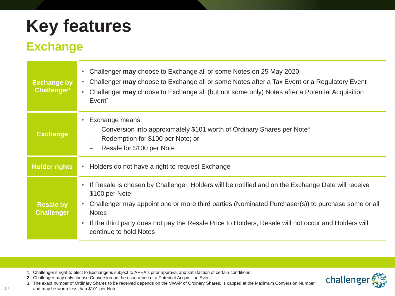### **Exchange**

| <b>Exchange by</b><br>Challenger <sup>1</sup> | Challenger may choose to Exchange all or some Notes on 25 May 2020<br>$\bullet$<br>Challenger may choose to Exchange all or some Notes after a Tax Event or a Regulatory Event<br>$\bullet$<br>Challenger may choose to Exchange all (but not some only) Notes after a Potential Acquisition<br>$\bullet$<br>Event <sup>2</sup>                                                                                  |  |  |  |
|-----------------------------------------------|------------------------------------------------------------------------------------------------------------------------------------------------------------------------------------------------------------------------------------------------------------------------------------------------------------------------------------------------------------------------------------------------------------------|--|--|--|
| <b>Exchange</b>                               | Exchange means:<br>$\bullet$<br>Conversion into approximately \$101 worth of Ordinary Shares per Note <sup>3</sup><br>Redemption for \$100 per Note; or<br>$\overline{\phantom{m}}$<br>Resale for \$100 per Note                                                                                                                                                                                                 |  |  |  |
| <b>Holder rights</b>                          | Holders do not have a right to request Exchange<br>$\bullet$                                                                                                                                                                                                                                                                                                                                                     |  |  |  |
| <b>Resale by</b><br><b>Challenger</b>         | If Resale is chosen by Challenger, Holders will be notified and on the Exchange Date will receive<br>$\bullet$<br>\$100 per Note<br>Challenger may appoint one or more third parties (Nominated Purchaser(s)) to purchase some or all<br>$\bullet$<br><b>Notes</b><br>If the third party does not pay the Resale Price to Holders, Resale will not occur and Holders will<br>$\bullet$<br>continue to hold Notes |  |  |  |

- 1. Challenger's right to elect to Exchange is subject to APRA's prior approval and satisfaction of certain conditions.
- 2. Challenger may only choose Conversion on the occurrence of a Potential Acquisition Event.
- 3. The exact number of Ordinary Shares to be received depends on the VWAP of Ordinary Shares, is capped at the Maximum Conversion Number

and may be worth less than \$101 per Note.

17

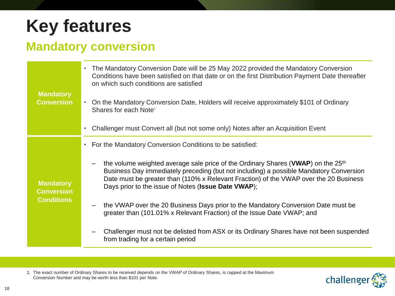## **Mandatory conversion**

| <b>Mandatory</b><br><b>Conversion</b>                      | The Mandatory Conversion Date will be 25 May 2022 provided the Mandatory Conversion<br>Conditions have been satisfied on that date or on the first Distribution Payment Date thereafter<br>on which such conditions are satisfied                                                                                                      |  |  |
|------------------------------------------------------------|----------------------------------------------------------------------------------------------------------------------------------------------------------------------------------------------------------------------------------------------------------------------------------------------------------------------------------------|--|--|
|                                                            | On the Mandatory Conversion Date, Holders will receive approximately \$101 of Ordinary<br>Shares for each Note <sup>1</sup>                                                                                                                                                                                                            |  |  |
|                                                            | Challenger must Convert all (but not some only) Notes after an Acquisition Event                                                                                                                                                                                                                                                       |  |  |
|                                                            | For the Mandatory Conversion Conditions to be satisfied:                                                                                                                                                                                                                                                                               |  |  |
| <b>Mandatory</b><br><b>Conversion</b><br><b>Conditions</b> | the volume weighted average sale price of the Ordinary Shares (VWAP) on the 25 <sup>th</sup><br>Business Day immediately preceding (but not including) a possible Mandatory Conversion<br>Date must be greater than (110% x Relevant Fraction) of the VWAP over the 20 Business<br>Days prior to the issue of Notes (Issue Date VWAP); |  |  |
|                                                            | the VWAP over the 20 Business Days prior to the Mandatory Conversion Date must be<br>greater than (101.01% x Relevant Fraction) of the Issue Date VWAP; and                                                                                                                                                                            |  |  |
|                                                            | Challenger must not be delisted from ASX or its Ordinary Shares have not been suspended<br>from trading for a certain period                                                                                                                                                                                                           |  |  |

1. The exact number of Ordinary Shares to be received depends on the VWAP of Ordinary Shares, is capped at the Maximum Conversion Number and may be worth less than \$101 per Note.

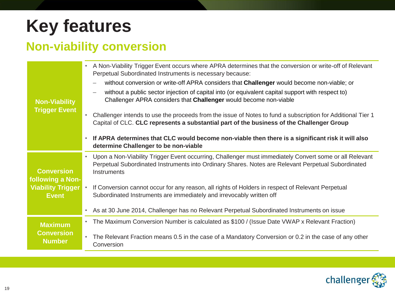### **Non-viability conversion**

| <b>Non-Viability</b><br><b>Trigger Event</b> | A Non-Viability Trigger Event occurs where APRA determines that the conversion or write-off of Relevant<br>$\bullet$<br>Perpetual Subordinated Instruments is necessary because:                                            |
|----------------------------------------------|-----------------------------------------------------------------------------------------------------------------------------------------------------------------------------------------------------------------------------|
|                                              | without conversion or write-off APRA considers that Challenger would become non-viable; or                                                                                                                                  |
|                                              | without a public sector injection of capital into (or equivalent capital support with respect to)<br>Challenger APRA considers that Challenger would become non-viable                                                      |
|                                              | Challenger intends to use the proceeds from the issue of Notes to fund a subscription for Additional Tier 1<br>Capital of CLC. CLC represents a substantial part of the business of the Challenger Group                    |
|                                              | If APRA determines that CLC would become non-viable then there is a significant risk it will also<br>$\bullet$<br>determine Challenger to be non-viable                                                                     |
| <b>Conversion</b><br>following a Non-        | Upon a Non-Viability Trigger Event occurring, Challenger must immediately Convert some or all Relevant<br>Perpetual Subordinated Instruments into Ordinary Shares. Notes are Relevant Perpetual Subordinated<br>Instruments |
| <b>Viability Trigger</b><br><b>Event</b>     | If Conversion cannot occur for any reason, all rights of Holders in respect of Relevant Perpetual<br>$\bullet$<br>Subordinated Instruments are immediately and irrevocably written off                                      |
|                                              | As at 30 June 2014, Challenger has no Relevant Perpetual Subordinated Instruments on issue                                                                                                                                  |
| <b>Maximum</b>                               | The Maximum Conversion Number is calculated as \$100 / (Issue Date VWAP x Relevant Fraction)<br>$\bullet$                                                                                                                   |
| <b>Conversion</b><br><b>Number</b>           | The Relevant Fraction means 0.5 in the case of a Mandatory Conversion or 0.2 in the case of any other<br>$\bullet$<br>Conversion                                                                                            |

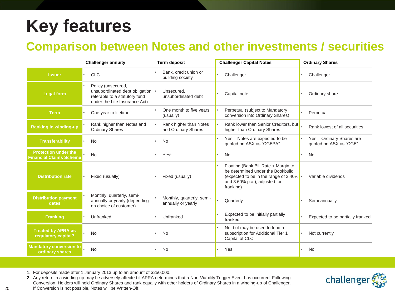### **Comparison between Notes and other investments / securities**

|                                                               | <b>Challenger annuity</b>                                                                                                | <b>Term deposit</b>                             | <b>Challenger Capital Notes</b>                                                                                                                                    | <b>Ordinary Shares</b>                              |
|---------------------------------------------------------------|--------------------------------------------------------------------------------------------------------------------------|-------------------------------------------------|--------------------------------------------------------------------------------------------------------------------------------------------------------------------|-----------------------------------------------------|
| <b>Issuer</b>                                                 | <b>CLC</b>                                                                                                               | Bank, credit union or<br>building society       | Challenger                                                                                                                                                         | Challenger                                          |
| <b>Legal form</b>                                             | Policy (unsecured,<br>unsubordinated debt obligation •<br>referable to a statutory fund<br>under the Life Insurance Act) | Unsecured,<br>unsubordinated debt               | Capital note                                                                                                                                                       | Ordinary share                                      |
| <b>Term</b>                                                   | One year to lifetime                                                                                                     | One month to five years<br>(usually)            | Perpetual (subject to Mandatory<br>conversion into Ordinary Shares)                                                                                                | Perpetual                                           |
| <b>Ranking in winding-up</b>                                  | Rank higher than Notes and<br><b>Ordinary Shares</b>                                                                     | Rank higher than Notes<br>and Ordinary Shares   | Rank lower than Senior Creditors, but<br>higher than Ordinary Shares <sup>2</sup>                                                                                  | Rank lowest of all securities                       |
| <b>Transferability</b>                                        | <b>No</b>                                                                                                                | <b>No</b>                                       | Yes - Notes are expected to be<br>quoted on ASX as "CGFPA"                                                                                                         | Yes - Ordinary Shares are<br>quoted on ASX as "CGF" |
| <b>Protection under the</b><br><b>Financial Claims Scheme</b> | <b>No</b>                                                                                                                | Yes <sup>1</sup>                                | <b>No</b>                                                                                                                                                          | <b>No</b>                                           |
| <b>Distribution rate</b>                                      | Fixed (usually)                                                                                                          | Fixed (usually)                                 | Floating (Bank Bill Rate + Margin to<br>be determined under the Bookbuild<br>(expected to be in the range of 3.40%).<br>and 3.60% p.a.), adjusted for<br>franking) | Variable dividends                                  |
| <b>Distribution payment</b><br>dates                          | Monthly, quarterly, semi-<br>annually or yearly (depending<br>on choice of customer)                                     | Monthly, quarterly, semi-<br>annually or yearly | Quarterly                                                                                                                                                          | Semi-annually                                       |
| <b>Franking</b>                                               | Unfranked                                                                                                                | Unfranked                                       | Expected to be initially partially<br>franked                                                                                                                      | Expected to be partially franked                    |
| <b>Treated by APRA as</b><br>regulatory capital?              | <b>No</b>                                                                                                                | <b>No</b>                                       | No, but may be used to fund a<br>subscription for Additional Tier 1<br>Capital of CLC                                                                              | Not currently                                       |
| <b>Mandatory conversion to</b><br>ordinary shares             | <b>No</b>                                                                                                                | <b>No</b>                                       | Yes                                                                                                                                                                | <b>No</b>                                           |

1. For deposits made after 1 January 2013 up to an amount of \$250,000.

2. Any return in a winding-up may be adversely affected if APRA determines that a Non-Viability Trigger Event has occurred. Following Conversion, Holders will hold Ordinary Shares and rank equally with other holders of Ordinary Shares in a winding-up of Challenger. If Conversion is not possible, Notes will be Written-Off.

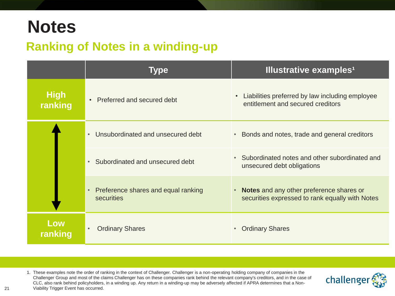## **Notes**

### **Ranking of Notes in a winding-up**

|                        | <b>Illustrative examples<sup>1</sup></b><br><b>Type</b> |                                                                                                    |
|------------------------|---------------------------------------------------------|----------------------------------------------------------------------------------------------------|
| <b>High</b><br>ranking | Preferred and secured debt<br>$\bullet$                 | Liabilities preferred by law including employee<br>$\bullet$<br>entitlement and secured creditors  |
|                        | Unsubordinated and unsecured debt<br>$\bullet$          | Bonds and notes, trade and general creditors<br>$\bullet$                                          |
|                        | Subordinated and unsecured debt                         | Subordinated notes and other subordinated and<br>$\bullet$<br>unsecured debt obligations           |
|                        | Preference shares and equal ranking<br>securities       | <b>Notes</b> and any other preference shares or<br>securities expressed to rank equally with Notes |
| Low<br>ranking         | <b>Ordinary Shares</b>                                  | <b>Ordinary Shares</b><br>$\bullet$                                                                |

1. These examples note the order of ranking in the context of Challenger. Challenger is a non-operating holding company of companies in the Challenger Group and most of the claims Challenger has on these companies rank behind the relevant company's creditors, and in the case of CLC, also rank behind policyholders, in a winding up. Any return in a winding-up may be adversely affected if APRA determines that a Non-Viability Trigger Event has occurred.

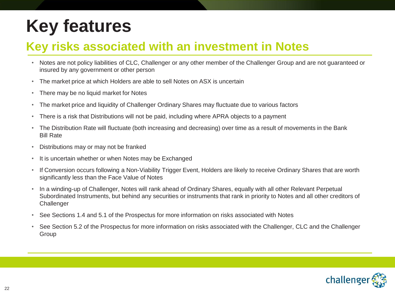### **Key risks associated with an investment in Notes**

- Notes are not policy liabilities of CLC, Challenger or any other member of the Challenger Group and are not guaranteed or insured by any government or other person
- The market price at which Holders are able to sell Notes on ASX is uncertain
- There may be no liquid market for Notes
- The market price and liquidity of Challenger Ordinary Shares may fluctuate due to various factors
- There is a risk that Distributions will not be paid, including where APRA objects to a payment
- The Distribution Rate will fluctuate (both increasing and decreasing) over time as a result of movements in the Bank Bill Rate
- Distributions may or may not be franked
- It is uncertain whether or when Notes may be Exchanged
- If Conversion occurs following a Non-Viability Trigger Event, Holders are likely to receive Ordinary Shares that are worth significantly less than the Face Value of Notes
- In a winding-up of Challenger, Notes will rank ahead of Ordinary Shares, equally with all other Relevant Perpetual Subordinated Instruments, but behind any securities or instruments that rank in priority to Notes and all other creditors of **Challenger**
- See Sections 1.4 and 5.1 of the Prospectus for more information on risks associated with Notes
- See Section 5.2 of the Prospectus for more information on risks associated with the Challenger, CLC and the Challenger Group

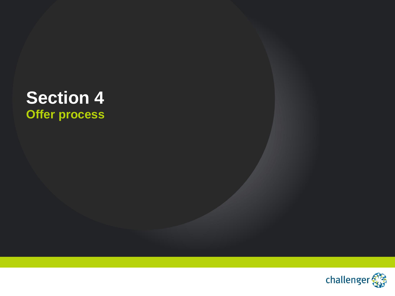## **Section 4 Offer process**

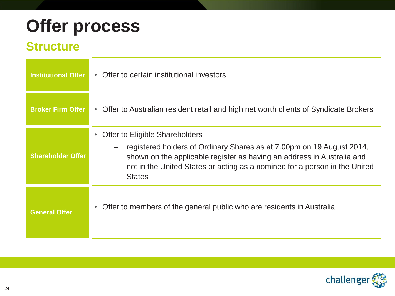## **Offer process**

### **Structure**

| <b>Institutional Offer</b> | Offer to certain institutional investors<br>$\bullet$                                                                                                                                                                                                                                         |
|----------------------------|-----------------------------------------------------------------------------------------------------------------------------------------------------------------------------------------------------------------------------------------------------------------------------------------------|
| <b>Broker Firm Offer</b>   | Offer to Australian resident retail and high net worth clients of Syndicate Brokers<br>$\bullet$                                                                                                                                                                                              |
| <b>Shareholder Offer</b>   | Offer to Eligible Shareholders<br>$\bullet$<br>registered holders of Ordinary Shares as at 7.00pm on 19 August 2014,<br>shown on the applicable register as having an address in Australia and<br>not in the United States or acting as a nominee for a person in the United<br><b>States</b> |
| <b>General Offer</b>       | Offer to members of the general public who are residents in Australia<br>$\bullet$                                                                                                                                                                                                            |

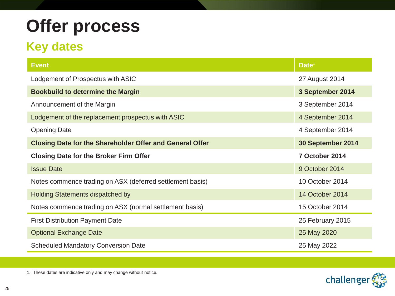## **Offer process**

## **Key dates**

| <b>Event</b>                                                    | Date <sup>1</sup> |
|-----------------------------------------------------------------|-------------------|
| Lodgement of Prospectus with ASIC                               | 27 August 2014    |
| <b>Bookbuild to determine the Margin</b>                        | 3 September 2014  |
| Announcement of the Margin                                      | 3 September 2014  |
| Lodgement of the replacement prospectus with ASIC               | 4 September 2014  |
| <b>Opening Date</b>                                             | 4 September 2014  |
| <b>Closing Date for the Shareholder Offer and General Offer</b> | 30 September 2014 |
| <b>Closing Date for the Broker Firm Offer</b>                   | 7 October 2014    |
| <b>Issue Date</b>                                               | 9 October 2014    |
| Notes commence trading on ASX (deferred settlement basis)       | 10 October 2014   |
| <b>Holding Statements dispatched by</b>                         | 14 October 2014   |
| Notes commence trading on ASX (normal settlement basis)         | 15 October 2014   |
| <b>First Distribution Payment Date</b>                          | 25 February 2015  |
| <b>Optional Exchange Date</b>                                   | 25 May 2020       |
| <b>Scheduled Mandatory Conversion Date</b>                      | 25 May 2022       |



1. These dates are indicative only and may change without notice.